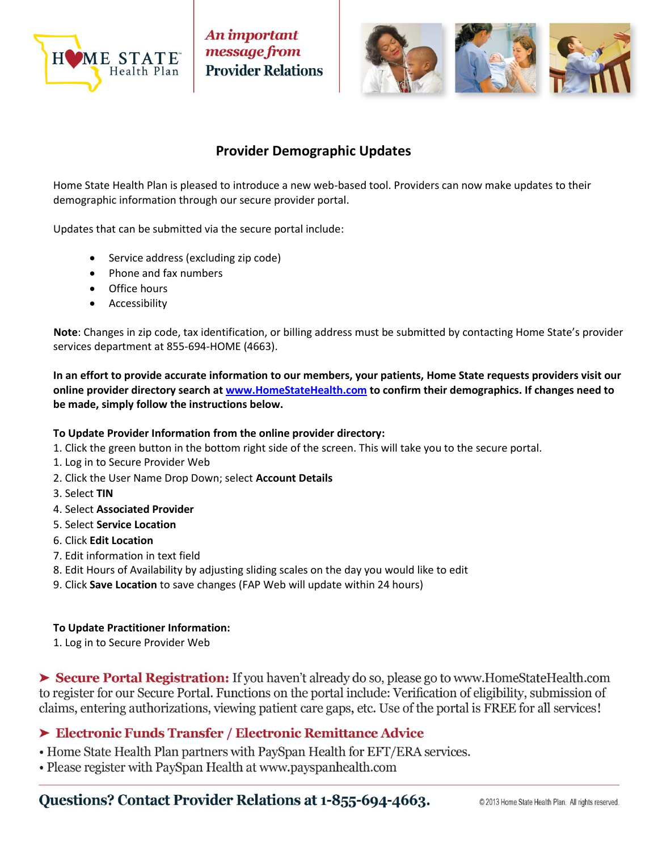

An important message from **Provider Relations** 



# **Provider Demographic Updates**

Home State Health Plan is pleased to introduce a new web-based tool. Providers can now make updates to their demographic information through our secure provider portal.

Updates that can be submitted via the secure portal include:

- Service address (excluding zip code)
- Phone and fax numbers
- Office hours
- Accessibility

 **Note**: Changes in zip code, tax identification, or billing address must be submitted by contacting Home State's provider services department at 855-694-HOME (4663).

**In an effort to provide accurate information to our members, your patients, Home State requests providers visit our online provider directory search at [www.HomeStateHealth.com](http://www.homestatehealth.com/) to confirm their demographics. If changes need to be made, simply follow the instructions below.**

#### **To Update Provider Information from the online provider directory:**

- 1. Click the green button in the bottom right side of the screen. This will take you to the secure portal.
- 1. Log in to Secure Provider Web
- 2. Click the User Name Drop Down; select **Account Details**
- 3. Select **TIN**
- 4. Select **Associated Provider**
- 5. Select **Service Location**
- 6. Click **Edit Location**
- 7. Edit information in text field
- 8. Edit Hours of Availability by adjusting sliding scales on the day you would like to edit
- 9. Click **Save Location** to save changes (FAP Web will update within 24 hours)

#### **To Update Practitioner Information:**

1. Log in to Secure Provider Web

Secure Portal Registration: If you haven't already do so, please go to www.HomeStateHealth.com to register for our Secure Portal. Functions on the portal include: Verification of eligibility, submission of claims, entering authorizations, viewing patient care gaps, etc. Use of the portal is FREE for all services!

### Electronic Funds Transfer / Electronic Remittance Advice

- Home State Health Plan partners with PaySpan Health for EFT/ERA services.
- Please register with PaySpan Health at www.payspanhealth.com